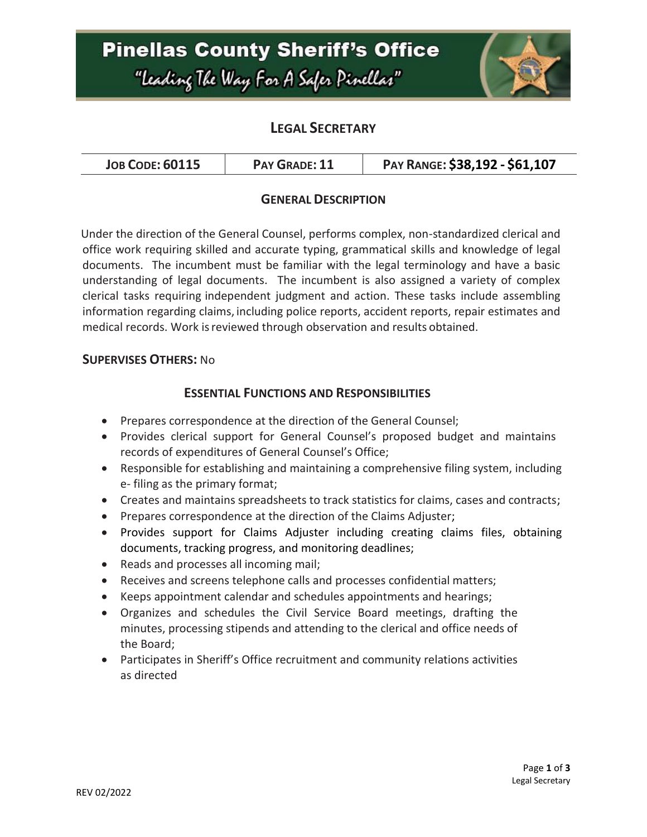# **Pinellas County Sheriff's Office** "Leading The Way For A Safer Pinellar"



### **LEGAL SECRETARY**

| <b>JOB CODE: 60115</b> | PAY GRADE: 11 | PAY RANGE: \$38,192 - \$61,107 |
|------------------------|---------------|--------------------------------|
|------------------------|---------------|--------------------------------|

### **GENERAL DESCRIPTION**

Under the direction of the General Counsel, performs complex, non-standardized clerical and office work requiring skilled and accurate typing, grammatical skills and knowledge of legal documents. The incumbent must be familiar with the legal terminology and have a basic understanding of legal documents. The incumbent is also assigned a variety of complex clerical tasks requiring independent judgment and action. These tasks include assembling information regarding claims, including police reports, accident reports, repair estimates and medical records. Work isreviewed through observation and results obtained.

### **SUPERVISES OTHERS:** No

#### **ESSENTIAL FUNCTIONS AND RESPONSIBILITIES**

- Prepares correspondence at the direction of the General Counsel;
- Provides clerical support for General Counsel's proposed budget and maintains records of expenditures of General Counsel's Office;
- Responsible for establishing and maintaining a comprehensive filing system, including e- filing as the primary format;
- Creates and maintains spreadsheets to track statistics for claims, cases and contracts;
- Prepares correspondence at the direction of the Claims Adjuster;
- Provides support for Claims Adjuster including creating claims files, obtaining documents, tracking progress, and monitoring deadlines;
- Reads and processes all incoming mail;
- Receives and screens telephone calls and processes confidential matters;
- Keeps appointment calendar and schedules appointments and hearings;
- Organizes and schedules the Civil Service Board meetings, drafting the minutes, processing stipends and attending to the clerical and office needs of the Board;
- Participates in Sheriff's Office recruitment and community relations activities as directed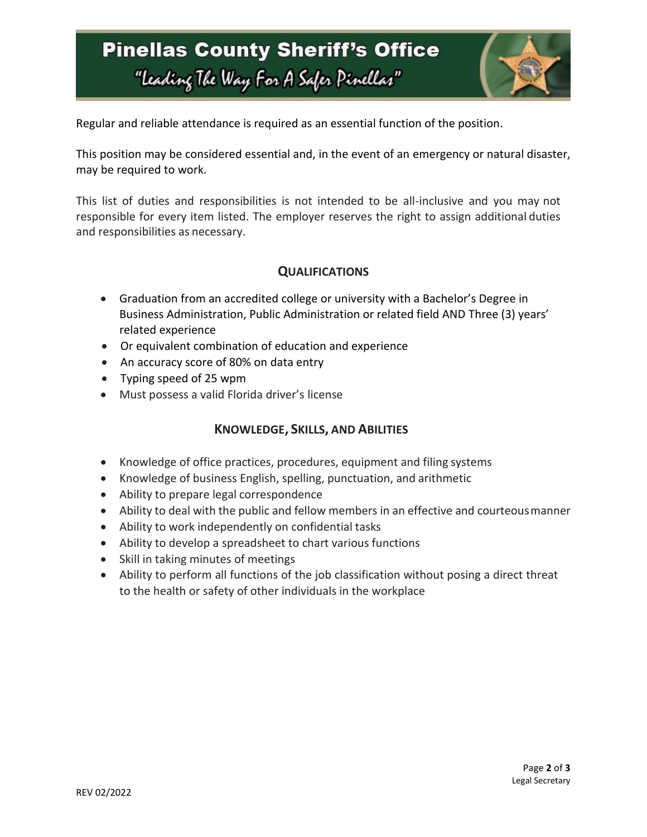## **Pinellas County Sheriff's Office** "Leading The Way For A Safer Pinellar"



Regular and reliable attendance is required as an essential function of the position.

This position may be considered essential and, in the event of an emergency or natural disaster, may be required to work.

This list of duties and responsibilities is not intended to be all-inclusive and you may not responsible for every item listed. The employer reserves the right to assign additional duties and responsibilities as necessary.

### **QUALIFICATIONS**

- Graduation from an accredited college or university with a Bachelor's Degree in Business Administration, Public Administration or related field AND Three (3) years' related experience
- Or equivalent combination of education and experience
- An accuracy score of 80% on data entry
- Typing speed of 25 wpm
- Must possess a valid Florida driver's license

### **KNOWLEDGE, SKILLS, AND ABILITIES**

- Knowledge of office practices, procedures, equipment and filing systems
- Knowledge of business English, spelling, punctuation, and arithmetic
- Ability to prepare legal correspondence
- Ability to deal with the public and fellow members in an effective and courteousmanner
- Ability to work independently on confidential tasks
- Ability to develop a spreadsheet to chart various functions
- Skill in taking minutes of meetings
- Ability to perform all functions of the job classification without posing a direct threat to the health or safety of other individuals in the workplace